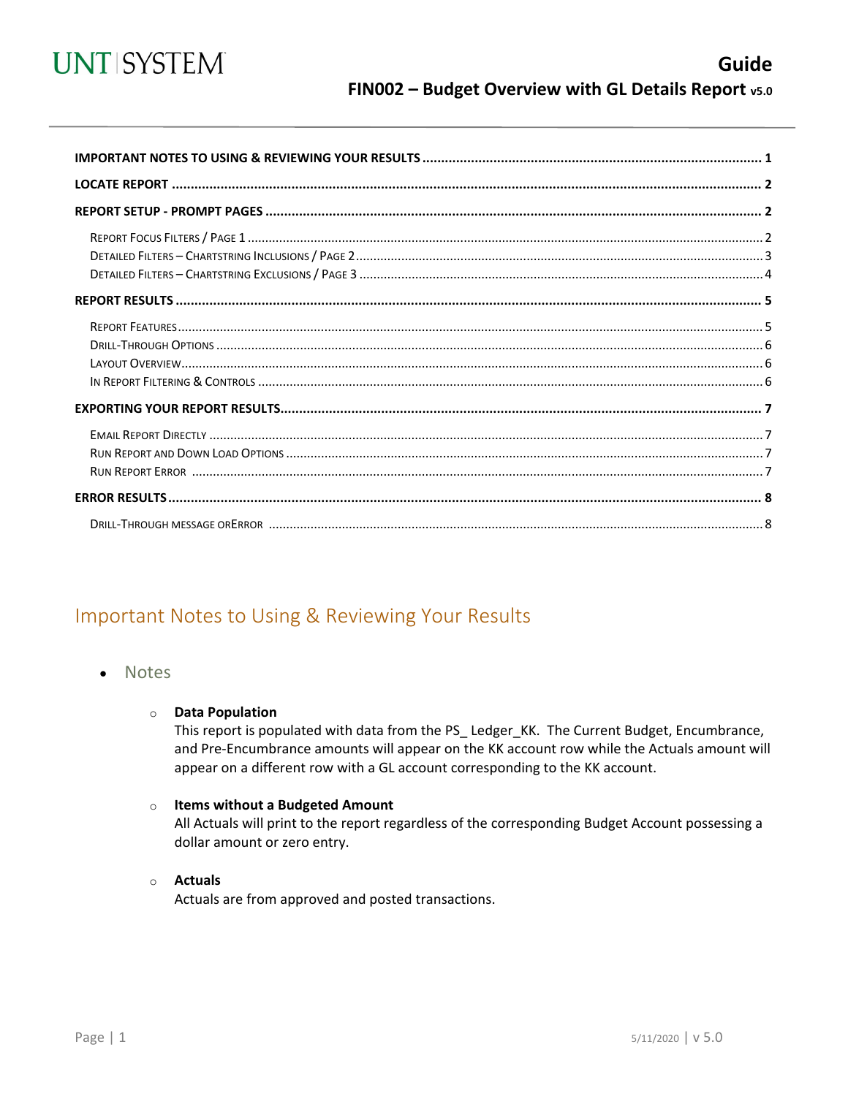

<span id="page-0-0"></span>

## Important Notes to Using & Reviewing Your Results

#### **Notes**

#### **O** Data Population

This report is populated with data from the PS\_ Ledger\_KK. The Current Budget, Encumbrance, and Pre-Encumbrance amounts will appear on the KK account row while the Actuals amount will appear on a different row with a GL account corresponding to the KK account.

#### o Items without a Budgeted Amount

All Actuals will print to the report regardless of the corresponding Budget Account possessing a dollar amount or zero entry.

#### ○ Actuals

Actuals are from approved and posted transactions.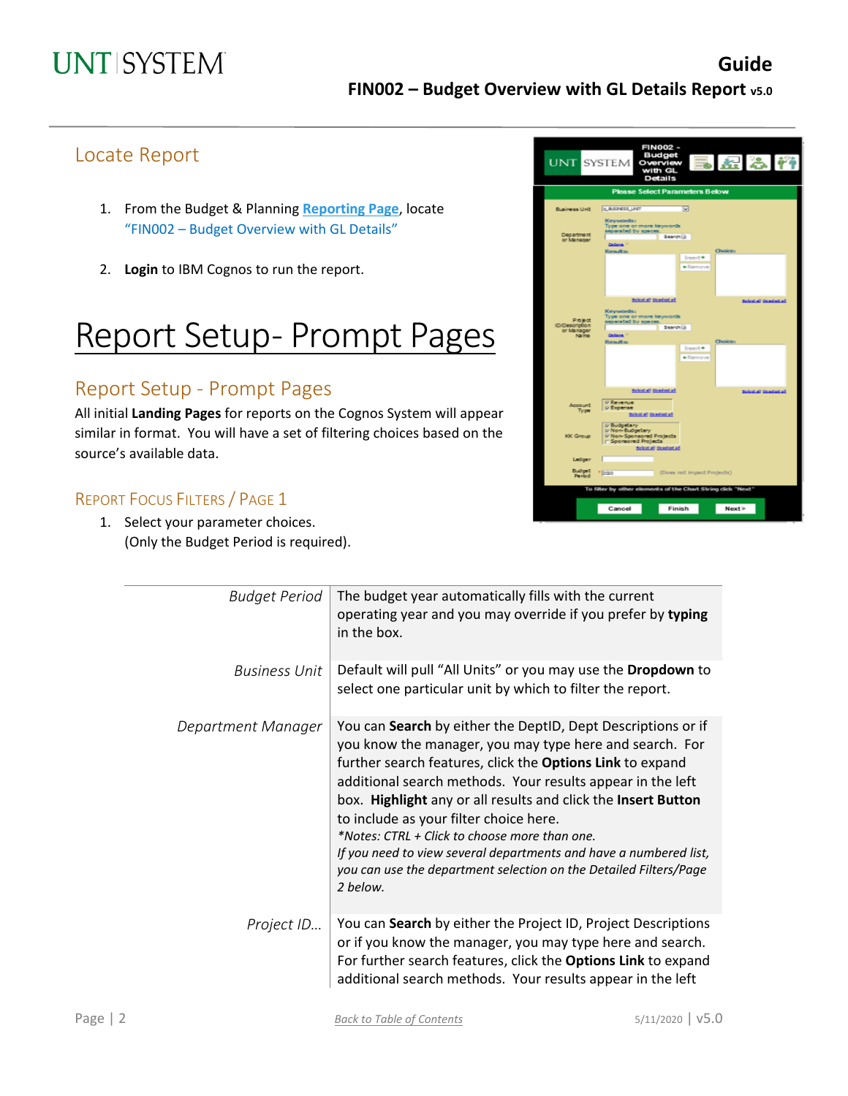## Locate Report

- 1. From the Budget & Planning **[Reporting Page](https://finance.untsystem.edu/reporting)**, locate "FIN002 – Budget Overview with GL Details"
- 2. **Login** to IBM Cognos to run the report.

# Report Setup- Prompt Pages

## Report Setup - Prompt Pages

All initial **Landing Pages** for reports on the Cognos System will appear similar in format. You will have a set of filtering choices based on the source's available data.

### REPORT FOCUS FILTERS / PAGE 1

1. Select your parameter choices. (Only the Budget Period is required).

| <b>UNT SYSTEM</b>                                             | <b>FIN002-</b><br>Budget<br>523M<br>Overview<br>with GL<br><b>Details</b>                                                                                                                                                     |
|---------------------------------------------------------------|-------------------------------------------------------------------------------------------------------------------------------------------------------------------------------------------------------------------------------|
|                                                               | <b>Please Select Parameters Below</b>                                                                                                                                                                                         |
| Business Unit                                                 | <b>Q BUSINESS LINT</b><br>◛                                                                                                                                                                                                   |
| Department<br>or Manager                                      | Keywords:<br>Type one or more keywords<br>separated by spaces<br>Search (g)<br><b>Gallery</b> <sup>17</sup><br>Choice:<br><b>Renaults:</b>                                                                                    |
| Project<br><b>ID/Description</b><br>or Manager<br><b>Name</b> | Insert*<br>$\bullet$ Remove<br>Schut all Ocad out all<br><b>Balantini Gambatal</b><br>Keywords:<br>Type one or more keywords<br>separated by spaces<br>Search (3)<br>Callege."<br>Choice:<br>Results<br>Insurat *<br>· Remove |
| Account<br>Type                                               | Scient all Genelest all<br>Sciential Genelectual<br><b>P Revenue</b><br>p Expense<br>Scient all Devoluti all                                                                                                                  |
| KK Group                                                      | p Budgetary<br>p Non-Budgetary<br>V Non-Sponsored Projects<br>- Sporeored Projects<br>Sciential Ocadestal                                                                                                                     |
| Ledger                                                        |                                                                                                                                                                                                                               |
| Budget<br>Period                                              | (Does not impact Projects)<br>* baro                                                                                                                                                                                          |
|                                                               | To filter by other elements of the Chart String click "Next"                                                                                                                                                                  |
|                                                               | Cancel<br>Finish<br>Next                                                                                                                                                                                                      |

| <b>Budget Period</b> | The budget year automatically fills with the current<br>operating year and you may override if you prefer by typing<br>in the box.                                                                                                                                                                                                                                                                                                                                                                                                                                   |
|----------------------|----------------------------------------------------------------------------------------------------------------------------------------------------------------------------------------------------------------------------------------------------------------------------------------------------------------------------------------------------------------------------------------------------------------------------------------------------------------------------------------------------------------------------------------------------------------------|
| <b>Business Unit</b> | Default will pull "All Units" or you may use the Dropdown to<br>select one particular unit by which to filter the report.                                                                                                                                                                                                                                                                                                                                                                                                                                            |
| Department Manager   | You can Search by either the DeptID, Dept Descriptions or if<br>you know the manager, you may type here and search. For<br>further search features, click the Options Link to expand<br>additional search methods. Your results appear in the left<br>box. Highlight any or all results and click the Insert Button<br>to include as your filter choice here.<br>*Notes: CTRL + Click to choose more than one.<br>If you need to view several departments and have a numbered list,<br>you can use the department selection on the Detailed Filters/Page<br>2 below. |
| Project ID           | You can Search by either the Project ID, Project Descriptions<br>or if you know the manager, you may type here and search.<br>For further search features, click the Options Link to expand<br>additional search methods. Your results appear in the left                                                                                                                                                                                                                                                                                                            |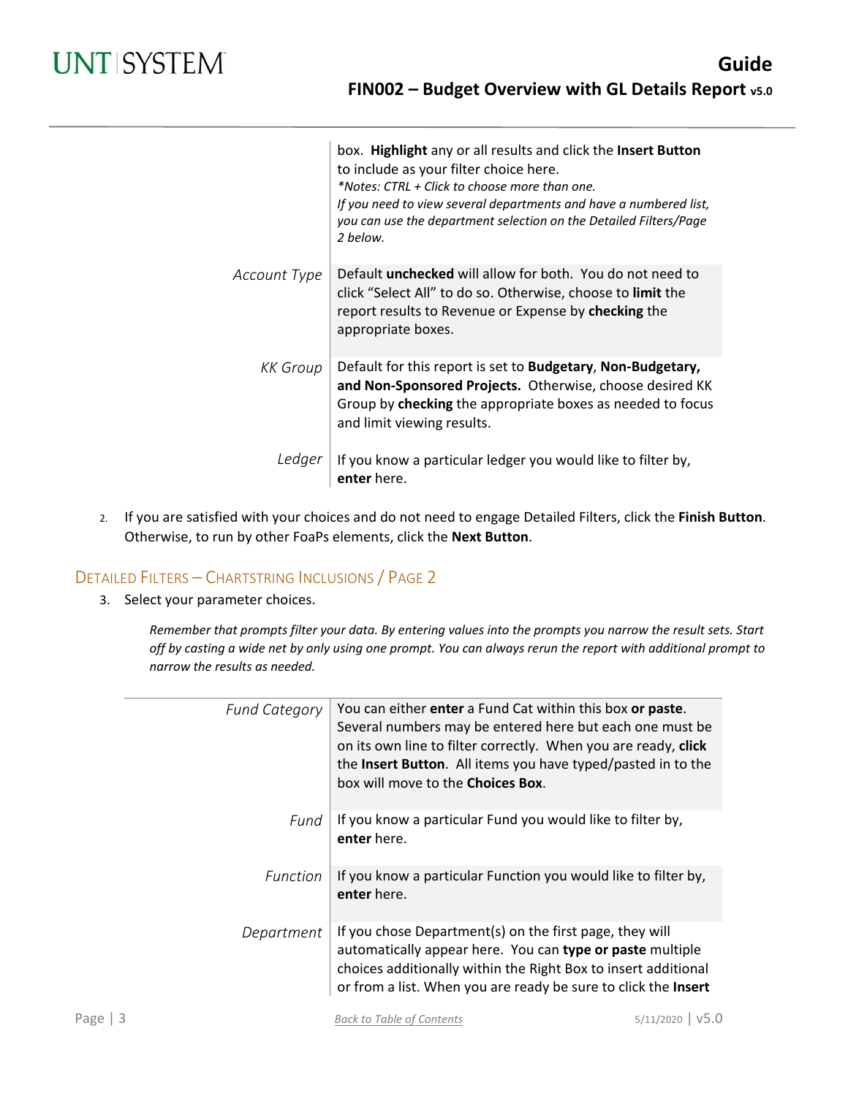|              | box. Highlight any or all results and click the Insert Button<br>to include as your filter choice here.<br>*Notes: CTRL + Click to choose more than one.<br>If you need to view several departments and have a numbered list,<br>you can use the department selection on the Detailed Filters/Page<br>2 below. |
|--------------|----------------------------------------------------------------------------------------------------------------------------------------------------------------------------------------------------------------------------------------------------------------------------------------------------------------|
| Account Type | Default <b>unchecked</b> will allow for both. You do not need to<br>click "Select All" to do so. Otherwise, choose to limit the<br>report results to Revenue or Expense by checking the<br>appropriate boxes.                                                                                                  |
| KK Group     | Default for this report is set to Budgetary, Non-Budgetary,<br>and Non-Sponsored Projects. Otherwise, choose desired KK<br>Group by checking the appropriate boxes as needed to focus<br>and limit viewing results.                                                                                            |
| Ledger       | If you know a particular ledger you would like to filter by,<br>enter here.                                                                                                                                                                                                                                    |

2. If you are satisfied with your choices and do not need to engage Detailed Filters, click the **Finish Button**. Otherwise, to run by other FoaPs elements, click the **Next Button**.

### DETAILED FILTERS – CHARTSTRING INCLUSIONS / PAGE 2

3. Select your parameter choices.

*Remember that prompts filter your data. By entering values into the prompts you narrow the result sets. Start off by casting a wide net by only using one prompt. You can always rerun the report with additional prompt to narrow the results as needed.*

|      | <b>Fund Category</b> | You can either enter a Fund Cat within this box or paste.<br>Several numbers may be entered here but each one must be<br>on its own line to filter correctly. When you are ready, click<br>the Insert Button. All items you have typed/pasted in to the<br>box will move to the <b>Choices Box</b> . |      |
|------|----------------------|------------------------------------------------------------------------------------------------------------------------------------------------------------------------------------------------------------------------------------------------------------------------------------------------------|------|
|      | Fund                 | If you know a particular Fund you would like to filter by,<br>enter here.                                                                                                                                                                                                                            |      |
|      | Function             | If you know a particular Function you would like to filter by,<br>enter here.                                                                                                                                                                                                                        |      |
|      | Department           | If you chose Department(s) on the first page, they will<br>automatically appear here. You can type or paste multiple<br>choices additionally within the Right Box to insert additional<br>or from a list. When you are ready be sure to click the Insert                                             |      |
| Page |                      | 5/11/2020<br><b>Back to Table of Contents</b>                                                                                                                                                                                                                                                        | v5.0 |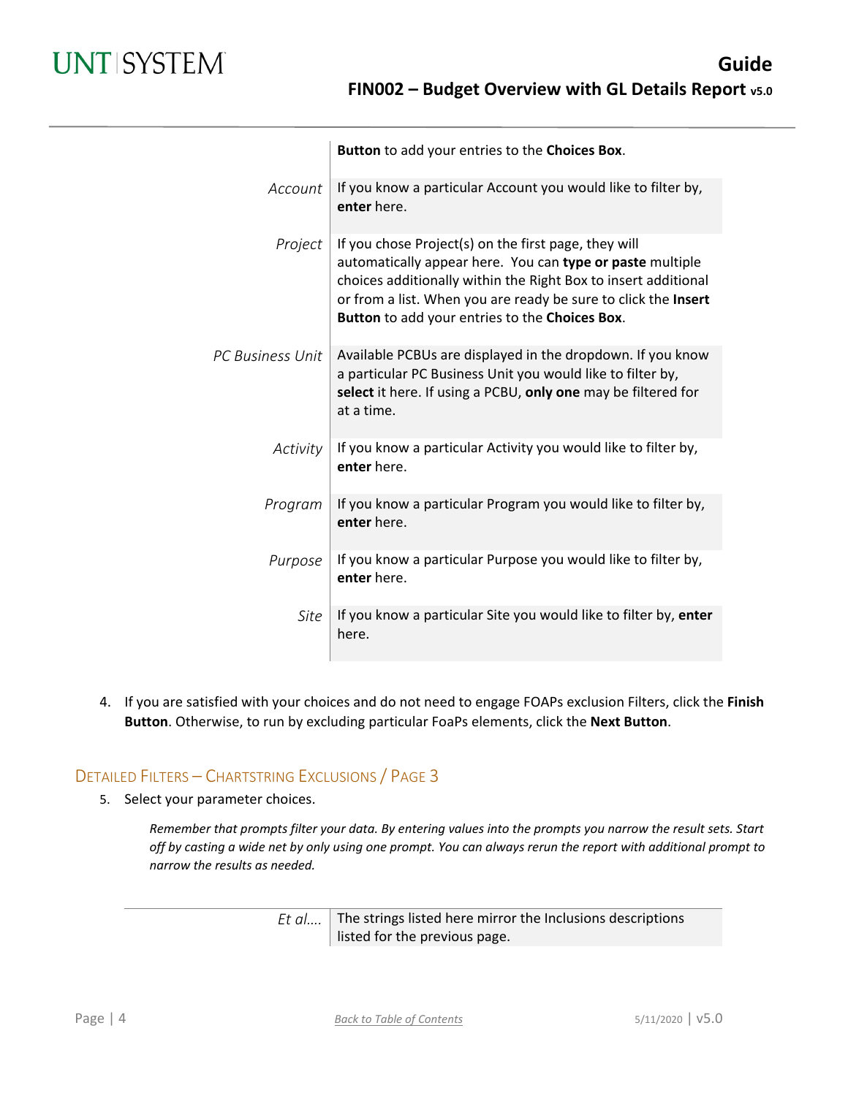|                         | Button to add your entries to the Choices Box.                                                                                                                                                                                                                                                          |
|-------------------------|---------------------------------------------------------------------------------------------------------------------------------------------------------------------------------------------------------------------------------------------------------------------------------------------------------|
| Account                 | If you know a particular Account you would like to filter by,<br>enter here.                                                                                                                                                                                                                            |
| Project                 | If you chose Project(s) on the first page, they will<br>automatically appear here. You can type or paste multiple<br>choices additionally within the Right Box to insert additional<br>or from a list. When you are ready be sure to click the Insert<br>Button to add your entries to the Choices Box. |
| <b>PC Business Unit</b> | Available PCBUs are displayed in the dropdown. If you know<br>a particular PC Business Unit you would like to filter by,<br>select it here. If using a PCBU, only one may be filtered for<br>at a time.                                                                                                 |
| Activity                | If you know a particular Activity you would like to filter by,<br>enter here.                                                                                                                                                                                                                           |
| Program                 | If you know a particular Program you would like to filter by,<br>enter here.                                                                                                                                                                                                                            |
| Purpose                 | If you know a particular Purpose you would like to filter by,<br>enter here.                                                                                                                                                                                                                            |
| Site                    | If you know a particular Site you would like to filter by, enter<br>here.                                                                                                                                                                                                                               |

4. If you are satisfied with your choices and do not need to engage FOAPs exclusion Filters, click the **Finish Button**. Otherwise, to run by excluding particular FoaPs elements, click the **Next Button**.

### DETAILED FILTERS – CHARTSTRING EXCLUSIONS / PAGE 3

5. Select your parameter choices.

*Remember that prompts filter your data. By entering values into the prompts you narrow the result sets. Start off by casting a wide net by only using one prompt. You can always rerun the report with additional prompt to narrow the results as needed.*

> *Et al....* The strings listed here mirror the Inclusions descriptions listed for the previous page.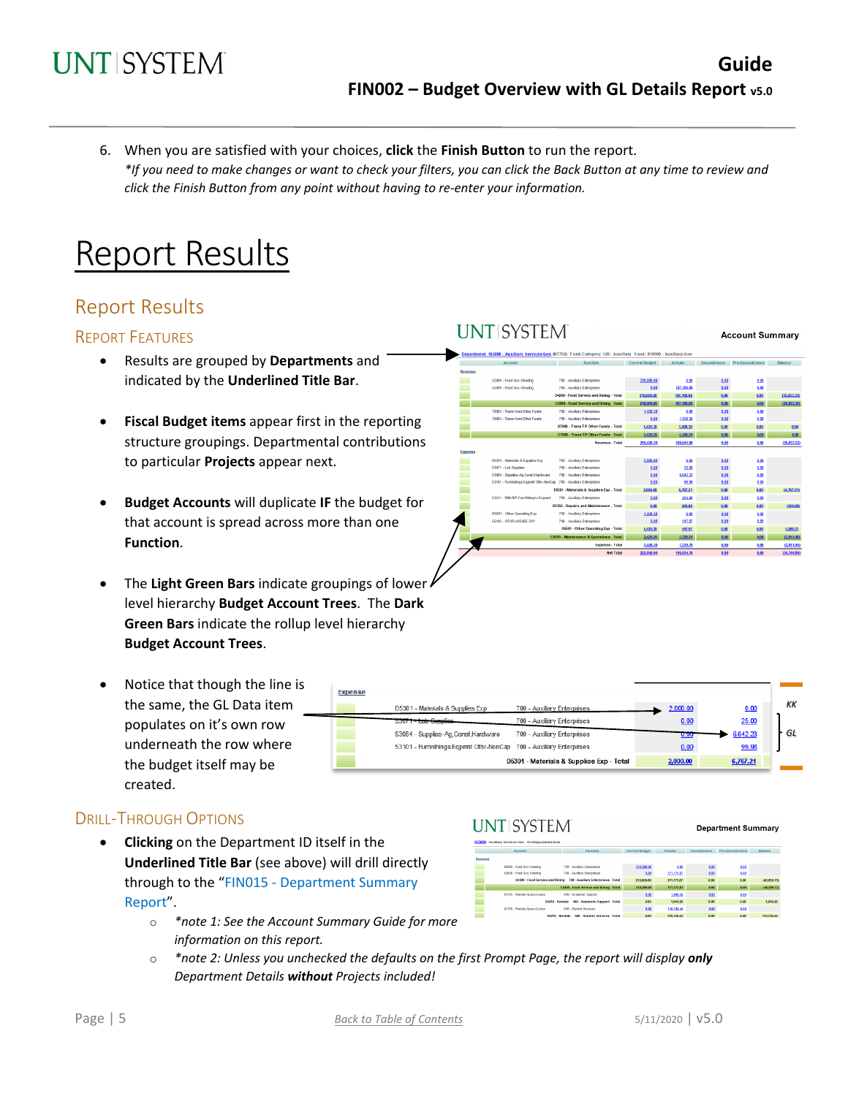**I INTISYSTEM** 

6. When you are satisfied with your choices, **click** the **Finish Button** to run the report. *\*If you need to make changes or want to check your filters, you can click the Back Button at any time to review and click the Finish Button from any point without having to re-enter your information.*

## Report Results

### Report Results

#### REPORT FEATURES

- Results are grouped by **Departments** and indicated by the **Underlined Title Bar**.
- **Fiscal Budget items** appear first in the reporting structure groupings. Departmental contributions to particular **Projects** appear next.
- **Budget Accounts** will duplicate **IF** the budget for that account is spread across more than one **Function**.
- The **Light Green Bars** indicate groupings of lower level hierarchy **Budget Account Trees**. The **Dark Green Bars** indicate the rollup level hierarchy **Budget Account Trees**.
- Notice that though the line is the same, the GL Data item populates on it's own row underneath the row where the budget itself may be created.

#### DRILL-THROUGH OPTIONS

- **Clicking** on the Department ID itself in the **Underlined Title Bar** (see above) will drill directly through to the "FIN015 - Department Summary Report".
	- o *\*note 1: See the Account Summary Guide for more information on this report.*
	- o *\*note 2: Unless you unchecked the defaults on the first Prompt Page, the report will display only Department Details without Projects included!*

| <b>Account</b>                                                     | <b>Function</b>                          | <b>Current Budget</b> | <b>Actuals</b> | <b>Encumbrance</b> | Pre-Encumbrance |  |
|--------------------------------------------------------------------|------------------------------------------|-----------------------|----------------|--------------------|-----------------|--|
| Revenue                                                            |                                          |                       |                |                    |                 |  |
| 42009 - Food Svc-Vending                                           | 700 - Auxiliary Enterprises              | 218.000.00            | 0.00           | 0.00               | 0.00            |  |
| 42009 - Food Svc-Vending                                           | 700 - Auxiliary Enterprises              | 0.00                  | 187, 166.68    | 0.00               | 0.00            |  |
|                                                                    | D4200 - Food Service and Dining - Total  | 218,000.00            | 187, 166.68    | 0.00               | 0.00            |  |
|                                                                    | C4200 - Food Service and Dining Total    | 218,000.00            | 187, 105.68    | 0.00               | 0.00            |  |
| 70003 - Trans from Other Funds                                     | 700 - Auxiliary Enterprises              | 1,428.30              | 0.00           | 0.00               | 0.00            |  |
| 70003 - Trans from Other Funds                                     | 700 - Auxiliary Enterprises              | 0.00                  | 1,428.30       | 0.00               | 0.00            |  |
|                                                                    | D7000 - Trans T/F Other Funds - Total    | 1,428.30              | 1,428.30       | 0.00               | 9.00            |  |
|                                                                    | C7000 - Trans T/F Other Funds Total      | 1,428.30              | 1,428.30       | 0.00               | 0.00            |  |
|                                                                    | Revenue - Total                          | 219.428.30            | 188,594.98     | 0.00               | 0.00            |  |
| Expense                                                            |                                          |                       |                |                    |                 |  |
| D5301 - Materials & Supplies Exp.                                  | 700 - Auxiliary Enterprises              | 2,000.00              | 0.00           | 0.00               | 0.00            |  |
| 53071 - Lab Supplies                                               | 700 - Auxiliary Enterprises              | 0.00                  | 25.00          | 0.00               | 0.00            |  |
| 53064 - Supplies-Ag, Const, Hardware                               | 700 - Auxiliary Enterprises              | 0.00                  | 6642.23        | 0.00               | 0.00            |  |
| 53101 - Furnishings Eggmnt Othr-NonCap 700 - Auxiliary Enterprises |                                          | 0.00                  | 99.96          | 0.00               | 0.00            |  |
|                                                                    | D5301 - Materials & Supplies Exp - Total | 2,000.00              | 6,767.21       | 0.00               | 0.00            |  |
| 53511 - RM-RP-FacOthimpry-Expred                                   | 700 - Auxiliary Enterprises              | 0.00                  | 424.60         | 0.00               | 0.00            |  |
|                                                                    | D5350 - Repairs and Maintenance - Total  | 0.00                  | 424.60         | 0.00               | 0.00            |  |
| D5501 - Other Operating Exp                                        | 700 - Auxiliary Enterprises              | 1,428.30              | 0.00           | 0.00               | 0.00            |  |
| 55105 - OTHR LICENSE EXP                                           | 700 - Auxiliary Enterprises              | 0.00                  | 147.97         | 0.00               | 0.00            |  |
|                                                                    | D5501 - Other Operating Exp - Total      | 1,428.30              | 147.97         | 0.00               | 0.00            |  |
|                                                                    | C5070 - Maintenance & Operations Total   | 3,428.30              | 7,339.78       | 0.00               | 0.00            |  |
|                                                                    | Expense - Total                          | 3,428.30              | 7,339.78       | 0.00               | 0.00            |  |
|                                                                    | <b>Net Total</b>                         | 222,856.60            | 195.934.76     | 0.00               | 0.00            |  |

| Expense                                                            |                                          |          |          |    |
|--------------------------------------------------------------------|------------------------------------------|----------|----------|----|
| D5301 - Materials & Supplies Exp                                   | 700 - Auxiliary Enterprises              | 2,000.00 | 0.00     | КK |
| 53071-Lab Supplies                                                 | 700 - Auxiliary Enterprises              | 0.00     | 25.00    |    |
| 53084 - Supplies-Ag Const Hardware                                 | 700 - Auxiliary Enterprises              | 0.00     | 6,642.23 | GL |
| 53101 - Furnishings Egpmnt Othr-NonCap 700 - Auxiliary Enterprises |                                          | 0.00     | 99.98    |    |
|                                                                    | D5301 - Materials & Supplies Exp - Total | 2,000.00 | 6,767.21 |    |

## **UNT SYSTEM**

**Department Summary** 

**Account Summary** 

|         | Account                         | <b>Function</b>                                 | Current Budget | Actuals    | Encumbrance | Pre-Encumbrance | Balance       |
|---------|---------------------------------|-------------------------------------------------|----------------|------------|-------------|-----------------|---------------|
| Revenue |                                 |                                                 |                |            |             |                 |               |
|         | 42009 - Food Svc-Vending        | 700 - Auxiliary Enterprises                     | 218.000.00     | 0.00       | 0.02        | 0.00            |               |
|         | 42009 - Food Syc-Vending        | 700 - Auxiliary Enterprises                     | 0.00           | 171.173.87 | 0.02        | 0.00            |               |
|         | D4200 - Food Service and Dining | 700 - Auxiliary Enterprises Total               | 218,000.00     | 171,173,87 | 0.00        | 0.00            | (46, 826, 13) |
|         |                                 | C4200 - Food Service and Dining Total           | 218,000.00     | 171,173.87 | 0.00        | 0.00            | (46.826.13)   |
|         | 42105 - Rentals-Soace-Lease     | 400 - Academic Support                          | 0.00           | 1,948.26   | 0.02        | 0.00            |               |
|         |                                 | 400 - Academic Support Total<br>D4210 - Rentals | 0.00           | 1,948.26   | 0.00        | 0.001           | 1,948.26      |
|         | 42105 - Rentals-Space-Lease     | 500 - Student Services                          | 9.00           | 110,746.44 | 0.001       | 0.00            |               |
|         |                                 | D4210 - Rentala<br>500 - Student Services Total | 0.00           | 110,746.44 | 0.00        | 0.00            | 110,746.44    |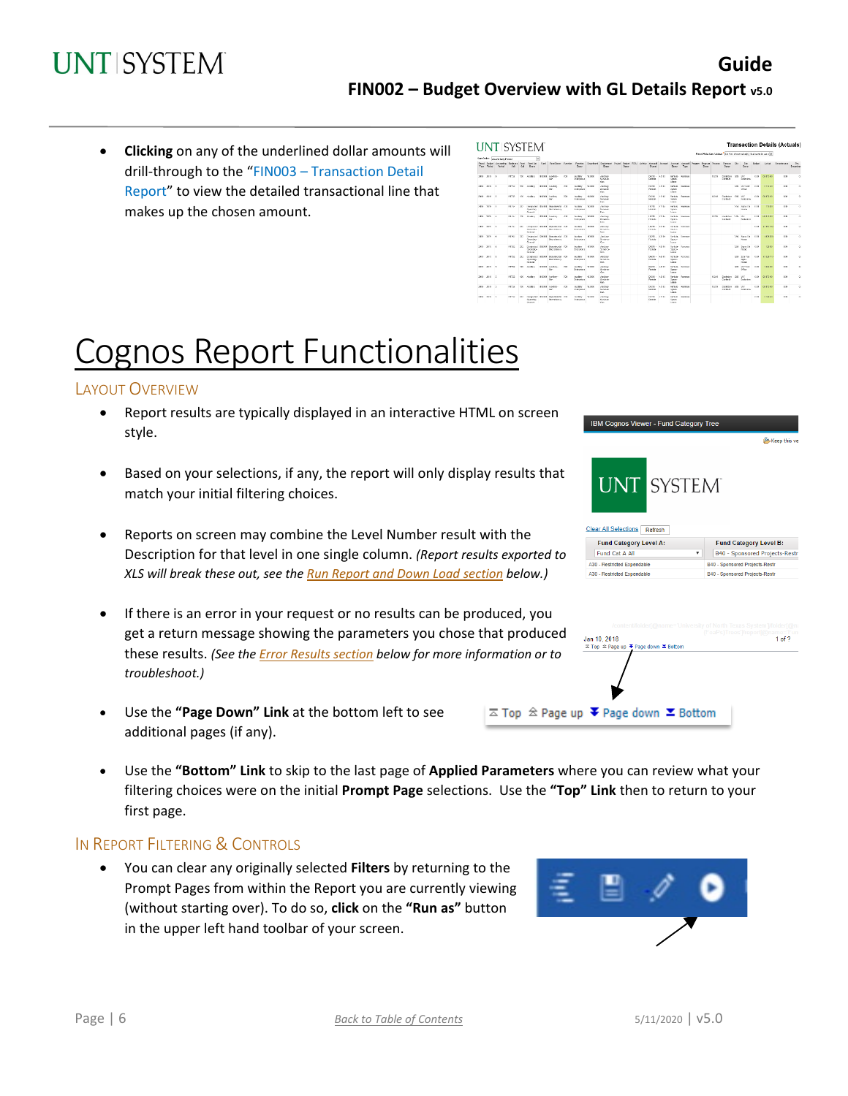• **Clicking** on any of the underlined dollar amounts will drill-through to the "FIN003 – Transaction Detail Report" to view the detailed transactional line that makes up the chosen amount.

|                                    | Set Order: Accounting Penad          |                   |              | $\overline{\mathbf{v}}$          |                                                             |           |                                        |              |                                                                       |              |  |                                |             |                                                  |                         | Shout-bide Dem Values" De Foll allow salvatich that want to Jame W.       |             |                                |                                         |         |                   |            |                         |
|------------------------------------|--------------------------------------|-------------------|--------------|----------------------------------|-------------------------------------------------------------|-----------|----------------------------------------|--------------|-----------------------------------------------------------------------|--------------|--|--------------------------------|-------------|--------------------------------------------------|-------------------------|---------------------------------------------------------------------------|-------------|--------------------------------|-----------------------------------------|---------|-------------------|------------|-------------------------|
| <b>Fecol</b> Eeded.<br>Vase Bagnet | Accounting Destroys<br><b>Cardon</b> | <b>Talk</b>       | $64$         | Cust First Cot<br><b>Few y</b>   | And Fundasc Furdin Furdin.                                  |           | <b>Bases</b>                           |              | Dopethent Occlument, Project Policy, POSJ, Activity<br><b>Paranza</b> | <b>Bears</b> |  | Diam                           |             | Descri-                                          | Tipp                    | Accord Accord Accord Accord Program Popular Purson, Purson, She<br>Descri |             | <b>Base</b>                    | 2n<br>Ossor                             | Dutter! | Arked .           | Examinator | Re-<br><b>Droumbran</b> |
| 2010 2010 0                        |                                      | 87722             | 430          | Audien                           | \$1000 haden<br>Gar                                         | TC4       | Author<br>Critment                     | \$15000      | Andrey<br>Condesse<br>Geb.                                            |              |  | 04216<br>Dawido                | 42115       | tena-<br>Same<br>Lease                           | <b>SEATLE</b>           |                                                                           | gates.      | Contenter CBS<br>Contract      | 15m<br>Englisher                        | 6.02    | 01073-02          | 0.30       | $^{12}$                 |
| 2018 2010 0                        |                                      | HEP12             | 400          | <b>Cardians</b>                  | <b>BIGGS Juniters</b><br>Gar.                               | 200       | <b>Gallery</b><br>Criteroeses          | \$5000       | Andrew<br>Sendown<br>OW                                               |              |  | <b>DATE</b><br>Restale         | 42485       | Dartish.<br>SENA<br>Liste                        | Search                  |                                                                           |             |                                | ORD LIST Does<br><b>Office</b>          | can     | $2 - 14 = 12$     | 0.30       | ×                       |
| 2019 2019 0                        |                                      | <b>NOW</b>        | <b>KW</b>    | <b>AVREY</b>                     | <b>BOOT ALLINE</b><br>iw.                                   | $\propto$ | Autory.<br>Francisco                   | 192400       | <b><i><u>ADSIM</u></i></b><br>Services<br><b>Links</b>                |              |  | 04218<br>PARM                  | <b>OIIS</b> | <b>Farth K</b><br><b>Santa</b><br><b>Tubical</b> | <b>ENVIRON</b>          |                                                                           | 13099       | Geneview, 1985 and<br>Carabica | Endelma                                 | (9)     | <b>GLASS AV</b>   | 880        | $\mathbb{R}^2$          |
| 2010 1910 11                       |                                      | 81746             | $25^{\circ}$ | (Verate)<br><b>Grand</b>         | Department details throughoutes, 2010<br><b>DESCRIPTION</b> |           | <b>AMAV</b><br><b>LONGINIA</b>         | 16.6%        | <b>AREK</b><br><b>Manufacturer</b><br><b>Date</b>                     |              |  | <b>DETER</b><br><b>DOM NO</b>  | OW          | <b>FRIDAY</b><br><b>TANA</b><br>trees            | <b><i>INVESTIGA</i></b> |                                                                           |             |                                | <b>SSI Jorecu</b><br>19.49              | 593     | 55.83             | $+10$      | $\sim$                  |
| trees recent in                    |                                      | 31.141            | 1.51         | <b>CAMBAS</b>                    | <b>FREE ASSAULT</b><br>the-                                 | A18       | <b>CAMBRO</b><br><b>Schooler</b>       | 10.00        | <b>August</b><br>November<br>Day:                                     |              |  | <b>ISA FEB</b><br><b>World</b> | 8.7880      | <b>THEFT</b><br><b>Fallen</b><br><b>Town</b>     | <b>TRACKS</b>           |                                                                           | 10,910      | <b>DAMAGE STA</b><br>Cardura   | 15m<br><b>Facture</b>                   | 1.81    | <b>CONTRACTOR</b> | $\sim$     | $\sim$                  |
| <b>SEE 1879 K</b>                  |                                      | <b>BE NO</b>      | STO.         | Outsides.<br><b>Council</b>      | Desputed Shifty throughout (26)<br><b>Bondary's</b>         |           | <b>Gallery</b><br><b>Printers</b>      | reax.        | 0.0188<br><b>Novema</b><br>Figs.                                      |              |  | nere.<br><b>DOM:</b>           | 21154       | <b>TABLE</b><br><b>FAMIL</b><br><b>Down</b>      | <b>Track</b>            |                                                                           |             |                                |                                         | 1.53    | ALCOHOL: NOT      | 4.8        | $\sim$                  |
| 2009 2010 16                       |                                      | STYC <sup>1</sup> |              | <b>Currence</b><br>0.916         | 237 Departed SWEE Brookway 200<br><b>Business</b>           |           | <b>Guidan</b><br><b>Printed at the</b> | <b>HALF</b>  | 208880<br>Scrytche<br>Cm                                              |              |  | NOTE .<br>Draidy               | OW          | <b>SHEAL</b><br>Search<br><b>Symmetry</b>        | Spared                  |                                                                           |             |                                | TAX Republic<br><b>Bally</b>            | 5.93    | <b>CONTINUE</b>   | a so       | $\sim$                  |
| 285 2810 6                         |                                      | <b>STYP</b>       | <b>NWY</b>   | Complete<br><b>Cownel</b>        | Governor SWW8 Graphy and W8<br>Obervilleran                 |           | <b>Analysis</b><br><b>Driveries</b>    | <b>BENEW</b> | <b>Anti-re</b><br>Scotton<br>Cm.                                      |              |  | <b>BANK</b><br>Drawing         | 42185       | Sold by<br><b>Seattle</b><br><b>Longe</b>        | Source                  |                                                                           |             |                                | USS Dann Co.<br>Finant                  | 1.53    | <b>STAR NO.</b>   | A MV       | $^{+}$                  |
| 2011 2010 4                        |                                      | 37752             | 332          | <b>Committee</b><br><b>Grace</b> | Designated \$10000 Department 700<br>Obzeitnen              |           | Audiey<br>Orienstace                   | ersex        | <b>Ander</b><br>Strikin-<br>Gan                                       |              |  | DATE:<br><b>Dowleto</b>        | 42115       | <b>Smith</b><br>Seate-<br>Legas                  | <b>Searse</b>           |                                                                           |             |                                | 1000 Selection<br><b>Richt</b><br>19,80 | 602     | 11,326,717        | 0.30       | $^{12}$                 |
| 2013 2010 1                        |                                      | <b>KEYO</b>       | 420          | deather.                         | \$1000 Audien-<br>Aar                                       | 700       | <b>Garden</b><br>Cristofoss            | erung.       | Apdiga<br>Services<br>Gan                                             |              |  | name.<br>Remain                | 42115       | <b>Rental</b><br>Sauce-<br>Lease                 | Search                  |                                                                           |             |                                | GBS LINT Road<br><b>Office</b>          | can     | 1,554.55          | a so       | $\mathcal{U}$           |
| 2010 2010 5                        |                                      | arry 11           | 4201         | <b>Audian</b>                    | \$10000 Audien-<br>dar                                      | TOP       | Audiev<br>Cristopher                   | 153100       | Apd an<br>Centered<br>Gan.                                            |              |  | 04216<br><b>De Kido</b>        | 42485       | Service.<br><b>Same</b><br>Lance                 | <b>Review</b>           |                                                                           | 43749       | Declarers 085<br>Cordent       | 15.7<br>Contentes                       | 6.6%    | GE 873 KO         | 0.30       | t.                      |
| 2011 2010 0                        |                                      | 87712             | $^{420}$     | Audience                         | <b>BIRDER JUNEAUX</b><br>Gar.                               | 700       | Author<br>Criteratean                  | \$13000      | Andrew<br>Condition<br>Gen.                                           |              |  | 04216<br>Genevie               | 42113       | <b>Service</b><br>Sante<br>Links                 | Investo                 |                                                                           | <b>COST</b> | Contentero CBS<br>Control      | <b>LMT</b><br>Ennistma                  | 0.02    | 08/07/2022        | 630        | t.                      |
| 2010 00:00 0                       |                                      | HEP12             | 302          | Dowaring                         | Designated \$15000 Department 700<br><b>Discovieran</b>     |           | <b>CALIFORN</b><br>Concorner           | 120600       | Andrew<br>Sendow                                                      |              |  | <b>DATE</b><br><b>RAINW</b>    | 20185       | Dartish.<br><b>SENA</b>                          | <b>Service</b>          |                                                                           |             |                                |                                         | 6.63    | 3,500,000         | 8.30       | $\overline{a}$          |

# Cognos Report Functionalities

#### LAYOUT OVERVIEW

- Report results are typically displayed in an interactive HTML on screen style.
- Based on your selections, if any, the report will only display results that match your initial filtering choices.
- Reports on screen may combine the Level Number result with the Description for that level in one single column. *(Report results exported to XLS will break these out, see the Run Report and Down Load section below.)*
- If there is an error in your request or no results can be produced, you get a return message showing the parameters you chose that produced these results. *(See th[e Error Results section](#page-6-0) below for more information or to troubleshoot.)*
- Use the **"Page Down" Link** at the bottom left to see additional pages (if any).
- Use the **"Bottom" Link** to skip to the last page of **Applied Parameters** where you can review what your filtering choices were on the initial **Prompt Page** selections. Use the **"Top" Link** then to return to your first page.

 $\overline{\sim}$  Top  $\triangle$  Page

#### IN REPORT FILTERING & CONTROLS

• You can clear any originally selected **Filters** by returning to the Prompt Pages from within the Report you are currently viewing (without starting over). To do so, **click** on the **"Run as"** button in the upper left hand toolbar of your screen.





| Jan 10, 2018<br>$\overline{\mathbb{Z}}$ Top $\cong$ Page up $\overline{\blacktriangledown}$ Page down $\overline{\blacktriangledown}$ Bottom | (FoaPs)Trees')/report[@name='Funo<br>1 <sub>of</sub> 2 |
|----------------------------------------------------------------------------------------------------------------------------------------------|--------------------------------------------------------|
|                                                                                                                                              |                                                        |
|                                                                                                                                              |                                                        |
|                                                                                                                                              |                                                        |
|                                                                                                                                              |                                                        |
| up $\blacktriangleright$ Page down $\blacktriangleright$ Bottom                                                                              |                                                        |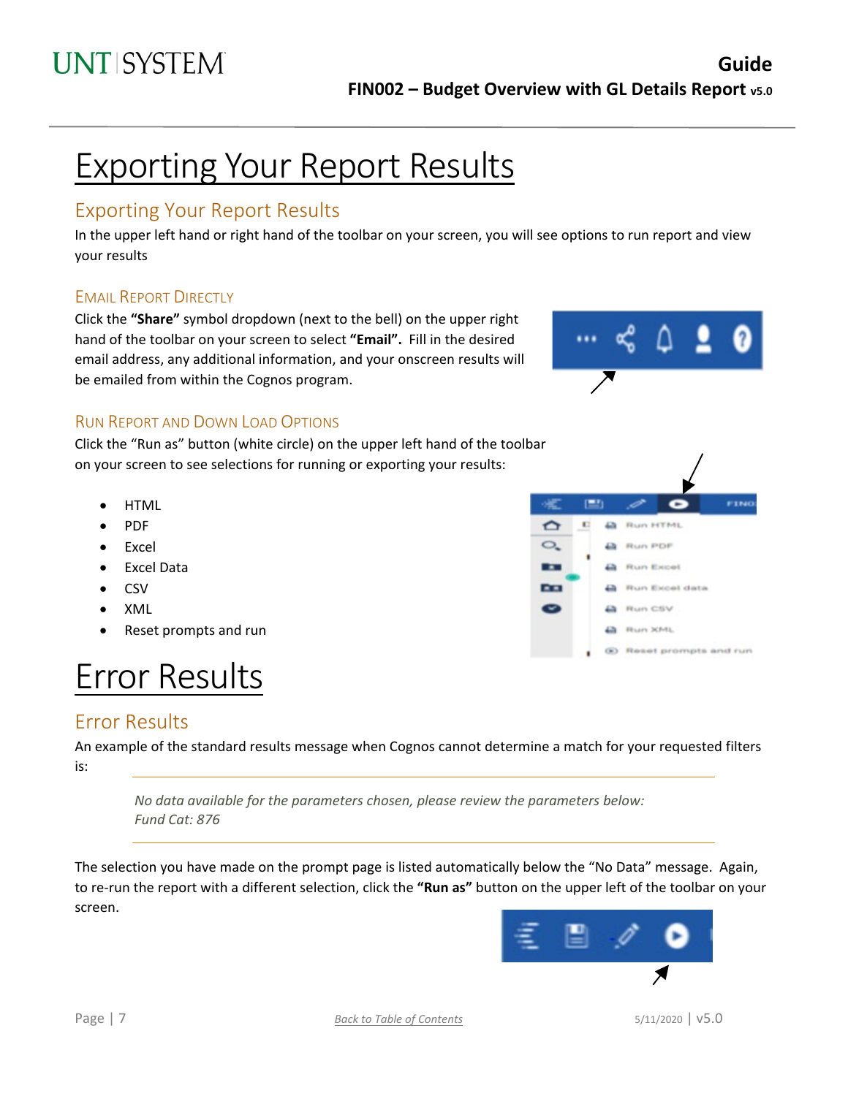# Exporting Your Report Results

## Exporting Your Report Results

In the upper left hand or right hand of the toolbar on your screen, you will see options to run report and view your results

### EMAIL REPORT DIRECTLY

Click the **"Share"** symbol dropdown (next to the bell) on the upper right hand of the toolbar on your screen to select **"Email".** Fill in the desired email address, any additional information, and your onscreen results will be emailed from within the Cognos program.



c

**A** Run HTML

**D** Run PDF

**A** Run Excel

**A** Run CSV **La** Bun XML

Run Excel data

® Reset prompts and run

**FINO** 

**PETT** 

**K1** 

جهر

 $\Omega$ 

 $\circ$ .

. .

 $\overline{a}$  $\tilde{\phantom{a}}$ 

### RUN REPORT AND DOWN LOAD OPTIONS

Click the "Run as" button (white circle) on the upper left hand of the toolbar on your screen to see selections for running or exporting your results:

- HTML
- PDF
- **Excel**
- Excel Data
- CSV
- XML
- Reset prompts and run

# Error Results

## <span id="page-6-0"></span>Error Results

An example of the standard results message when Cognos cannot determine a match for your requested filters is:

*No data available for the parameters chosen, please review the parameters below: Fund Cat: 876*

The selection you have made on the prompt page is listed automatically below the "No Data" message. Again, to re-run the report with a different selection, click the **"Run as"** button on the upper left of the toolbar on your screen.